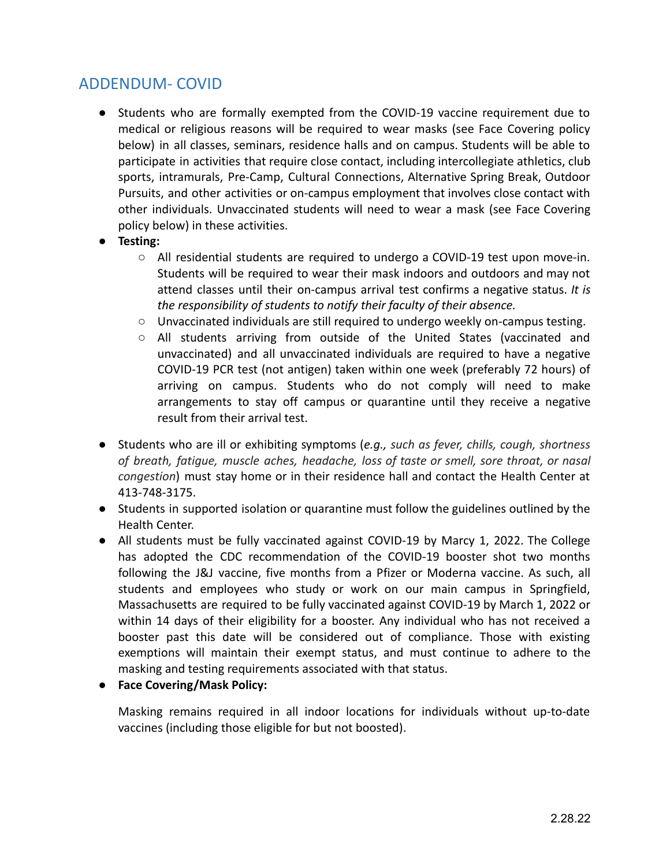# ADDENDUM- COVID

- Students who are formally exempted from the COVID-19 vaccine requirement due to medical or religious reasons will be required to wear masks (see Face Covering policy below) in all classes, seminars, residence halls and on campus. Students will be able to participate in activities that require close contact, including intercollegiate athletics, club sports, intramurals, Pre-Camp, Cultural Connections, Alternative Spring Break, Outdoor Pursuits, and other activities or on-campus employment that involves close contact with other individuals. Unvaccinated students will need to wear a mask (see Face Covering policy below) in these activities.
- **Testing:**
	- All residential students are required to undergo a COVID-19 test upon move-in. Students will be required to wear their mask indoors and outdoors and may not attend classes until their on-campus arrival test confirms a negative status. *It is the responsibility of students to notify their faculty of their absence.*
	- $\circ$  Unvaccinated individuals are still required to undergo weekly on-campus testing.
	- All students arriving from outside of the United States (vaccinated and unvaccinated) and all unvaccinated individuals are required to have a negative COVID-19 PCR test (not antigen) taken within one week (preferably 72 hours) of arriving on campus. Students who do not comply will need to make arrangements to stay off campus or quarantine until they receive a negative result from their arrival test.
- Students who are ill or exhibiting symptoms (*e.g., such as fever, chills, cough, shortness of breath, fatigue, muscle aches, headache, loss of taste or smell, sore throat, or nasal congestion*) must stay home or in their residence hall and contact the Health [Center](https://springfield.edu/student-life/health-center) at 413-748-3175.
- Students in supported isolation or quarantine must follow the guidelines outlined by the Health Center.
- All students must be fully vaccinated against COVID-19 by Marcy 1, 2022. The College has adopted the CDC recommendation of the COVID-19 booster shot two months following the J&J vaccine, five months from a Pfizer or Moderna vaccine. As such, all students and employees who study or work on our main campus in Springfield, Massachusetts are required to be fully vaccinated against COVID-19 by March 1, 2022 or within 14 days of their eligibility for a booster. Any individual who has not received a booster past this date will be considered out of compliance. Those with existing exemptions will maintain their exempt status, and must continue to adhere to the masking and testing requirements associated with that status.

### ● **Face Covering/Mask Policy:**

Masking remains required in all indoor locations for individuals without up-to-date vaccines (including those eligible for but not boosted).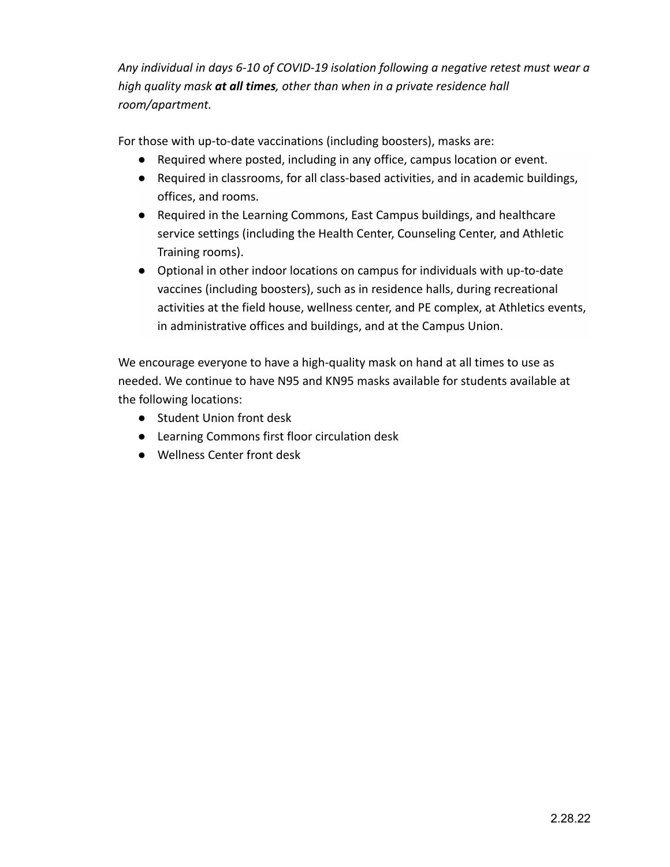*Any individual in days 6-10 of COVID-19 isolation following a negative retest must wear a high quality mask at all times, other than when in a private residence hall room/apartment.*

For those with up-to-date vaccinations (including boosters), masks are:

- Required where posted, including in any office, campus location or event.
- Required in classrooms, for all class-based activities, and in academic buildings, offices, and rooms.
- Required in the Learning Commons, East Campus buildings, and healthcare service settings (including the Health Center, Counseling Center, and Athletic Training rooms).
- Optional in other indoor locations on campus for individuals with up-to-date vaccines (including boosters), such as in residence halls, during recreational activities at the field house, wellness center, and PE complex, at Athletics events, in administrative offices and buildings, and at the Campus Union.

We encourage everyone to have a high-quality mask on hand at all times to use as needed. We continue to have N95 and KN95 masks available for students available at the following locations:

- Student Union front desk
- Learning Commons first floor circulation desk
- Wellness Center front desk